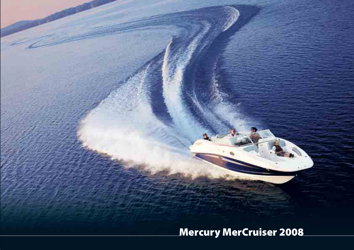**Mercury MerCruiser 2008**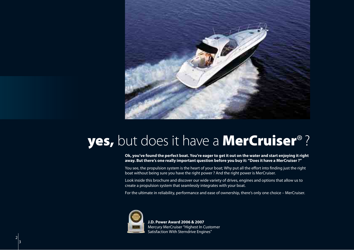

## **yes,** but does it have a **MerCruiser**®?

**Ok, you've found the perfect boat. You're eager to get it out on the water and start enjoying it right away. But there's one really important question before you buy it: "Does it have a MerCruiser ?"**

You see, the propulsion system is the heart of your boat; Why put all the effort into finding just the right boat without being sure you have the right power ? And the right power is MerCruiser.

Look inside this brochure and discover our wide variety of drives, engines and options that allow us to create a propulsion system that seamlessly integrates with your boat.

For the ultimate in reliability, performance and ease of ownership, there's only one choice – MerCruiser.



 2 3 **J.D. Power Award 2006 & 2007** Mercury MerCruiser "Highest In Customer Satisfaction With Sterndrive Engines"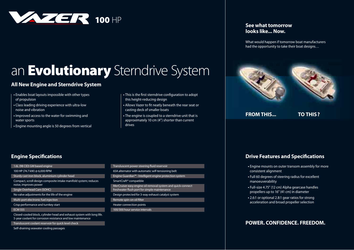

# an **Evolutionary** Sterndrive System

### **All New Engine and Sterndrive System**

- Enables boat layouts impossible with other types of propulsion
- Class leading driving experience with ultra-low noise and vibration
- Improved access to the water for swimming and water sports
- Engine mounting angle is 50 degrees from vertical
- This is the first sterndrive configuration to adopt this height-reducing design
- Allows Vazer to fit neatly beneath the rear seat or casting deck of smaller boats
- The engine is coupled to a sterndrive unit that is approximately 10 cm (4") shorter than current drives

### **See what tomorrow looks like... Now.**

What would happen if tomorrow boat manufacturers had the opportunity to take their boat designs…



**FROM THIS... TO THIS ?**

### **Engine Specifications**

#### 1.6L (98 CID) GM based engine 100 HP (74.7 kW) @ 6,000 RPM Sturdy cast iron block, aluminium cylinder head Compact, scroll design composite intake manifold system; reduces

noise, improves power

Single Overhead Cam (SOHC)

No valve adjustments for the life of the engine

Multi-port electronic fuel injection

Crisp performance and turnkey start

#### ECM 555

Closed-cooled block, cylinder head and exhaust system with long life. 5-year coolant for corrosion resistance and low maintenance

Transluscent coolant reservoir for quick level check

Self-draining seawater cooling passages

| Transluscent power steering fluid reservoir                                                                 |
|-------------------------------------------------------------------------------------------------------------|
| 65A alternator with automatic self-tensioning belt                                                          |
| Engine Guardian <sup>™</sup> - Intelligent engine protection system                                         |
| SmartCraft <sup>®</sup> compatible                                                                          |
| MerCruiser easy engine oil removal system and quick-connect<br>freshwater flush port for simple maintenance |
| Design protected for 3-way exhaust catalyst system                                                          |
| Remote spin-on oil filter                                                                                   |
| Heater connection points                                                                                    |
| 100/300 hour service intervals                                                                              |

### **Drive Features and Specifications**

- Engine mounts on outer transom assembly for more consistent alignment
- Full 60 degrees of steering radius for excellent manoeuverability
- Full-size 4.75" (12 cm) Alpha gearcase handles propellers up to 16" (41 cm) in diameter
- 2.6:1 or optional 2.8:1 gear ratios for strong acceleration and broad propeller selection

### **POWER. CONFIDENCE. FREEDOM.**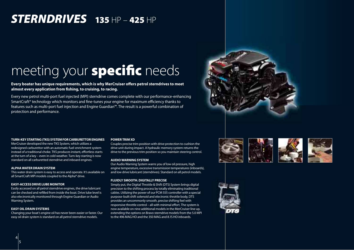## *STERNDRIVES* **135** HP – **425** HP

# meeting your **specific** needs

Every boater has unique requirements, which is why MerCruiser offers petrol sterndrives to meet **almost every application from fi shing, to cruising, to racing.**

Every new petrol multi-port fuel injected (MPI) sterndrive comes complete with our performance-enhancing SmartCraft® technology which monitors and fine-tunes your engine for maximum efficiency thanks to features such as multi-port fuel injection and Engine Guardian™. The result is a powerful combination of protection and performance.



#### **TURN-KEY STARTING (TKS) SYSTEM FOR CARBURETTOR ENGINES**

MerCruiser developed the new TKS System, which utilizes a redesigned carburettor with an automatic fuel-enrichment system instead of a traditional choke. TKS produces instant, effortless starts at the turn of a key – even in cold weather. Turn-key starting is now standard on all carburetted sterndrive and inboard engines.

#### **ALPHA WATER DRAIN SYSTEM**

This water drain system is easy to access and operate. It's available on all SmartCraft MPI models coupled to the Alpha® drive.

#### **EASY-ACCESS DRIVE LUBE MONITOR**

Easily accessed on all petrol sterndrive engines, the drive lubricant can be checked and refilled from inside the boat. Drive lube level is also electronically monitored through Engine Guardian or Audio Warning System.

#### **EASY OIL DRAIN SYSTEMS**

 4 5

Changing your boat's engine oil has never been easier or faster. Our easy oil drain system is standard on all petrol sterndrive models.

#### **POWER TRIM XD**

Couples precise trim position with drive protection to cushion the drive unit during impact. A hydraulic memory system returns the drive to the previous trim position so you maintain steering control.

#### **AUDIO WARNING SYSTEM**

Our Audio Warning System warns you of low oil pressure, high engine temperature, excessive transmission temperatures (inboards), and low drive lubricant (sterndrives). Standard on all petrol models.

#### **FLUIDLY SMOOTH. DIGITALLY PRECISE**

Simply put, the Digital Throttle & Shift (DTS) System brings digital precision to the shifting process by totally eliminating traditional cables. Utilizing the power of our PCM 555 controller with a special purpose-built shift solenoid and electronic throttle body, DTS provides an uncommonly smooth, precise shifting feel with responsive throttle control – all with minimal effort. The system is now available on nine additional models in the MerCruiser line up, extending the options on Bravo sterndrive models from the 5.0 MPI to the 496 MAG HO and the 350 MAG and 8.1S HO inboards.







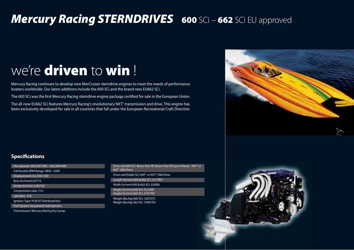## *Mercury Racing STERNDRIVES* **600** SCi – **662** SCi EU approved

# we're **driven** to **win** !

Mercury Racing continues to develop new MerCruiser sterndrive engines to meet the needs of performance boaters worldwide. Our latest additions include the 600 SCi and the brand new EU662 SCi.

The 600 SCi was the first Mercury Racing sterndrive engine package certified for sale in the European Union.

The all-new EU662 SCi features Mercury Racing's revolutionary NXT' transmission and drive. This engine has been exclusively developed for sale in all countries that fall under the European Recreational Craft Directive.



### **Specifications**

Horsepower: 600 (447 kW) – 662 (494 kW) Full throttle RPM Range: 4800 - 5200 Displacement: 8.2 (502 CID) Bore (in/mm):4.47/113 Stroke (in/mm): 4.00/102 Compression ratio: 7.5:1 Cylinders : V-8 Ignition Type: PCM 07 Distributorless Fuel System: Sequential Fuel Injection

Transmission: Mercury Racing Dry-Sump

Drive unit 600 SCi: Bravo One XR, Bravo One XR Sport Master , NXT<sup>1</sup> or NXT1 SSM Drive Drive unit EU662 SCi: NXT<sup>1</sup> or NXT<sup>1</sup> SSM Drive Length (in/mm) 600 & 662 SCi: 35.7/907 Width (in/mm) 600 & 662 SCi: 33/838 Height (in/mm) 600 SCi: 27.2/691 Height (in/mm) 662 SCi: 27.9/709 Weight (lbs/kg) 600 SCi: 1267/575 Weight (lbs/kg) 662 SCi: 1548/702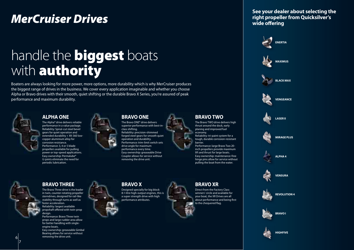## *MerCruiser Drives*

# handle the **biggest** boats with **authority**

Boaters are always looking for more power, more options, more durability which is why MerCruiser produces the biggest range of drives in the business. We cover every application imaginable and whether you choose Alpha or Bravo drives with their smooth, quiet shifting or the durable Bravo X Series, you're assured of peak performance and maximum durability.



### **ALPHA ONE**

The Alpha® drive delivers reliable performance in a value package. Reliability: Spiral-cut steel bevel gears for quiet operation and extended durability + XK-360 lowcopper aluminium alloy for corrosion resistance. Performance: 3, 4 or 5 blade propellers available for pulling power or top-speed applications. Easy ownership: Permalube® U-joints eliminate the need for periodic lubrication.



#### **BRAVO ONE**

The Bravo ONE® drive delivers superior performance with best-inclass shifting. Reliability: precision-shimmed forged steel gears for smooth quiet operation and durability. Performance: trim-limit switch sets drive angle for maximum performance every time. Easy ownership: greaseable Drive Coupler allows for service without removing the drive unit.



The Bravo TWO drive delivers high thrust around the dock, early planing and improved fuel economy.

Reliability: tri-paint system for a tough, durable corrosion-resistant barrier.

Performance: large Bravo Two 20 inch propellers provide maximum lift and thrust for large boats. Easy ownership: maintenance-free hinge pins allow for service without pulling the boat from the water.



## **BRAVO THREE**

The Bravo Three drive is the leader in twin, counter-rotating propeller sterndrives, designed for rail-like stability through turns as well as faster acceleration. Reliability: largest available propshaft offered with twin-prop design.

Performance: Bravo Three twin props and large rudder area allow for better handling with singleengine boats.

Easy ownership: greaseable Gimbal Bearing allows for service without removing the drive unit.

### **BRAVO X**

Designed specially for big block 8.1-litre high-output engines, this is a super strength drive with high performance attributes.

### **BRAVO XR**

Direct from the Factory Class winners' circle and available for your boat, the XR Drives are all about performance and being first to the chequered flag.

**See your dealer about selecting the right propeller from Quicksilver's**  wide offering



 6 7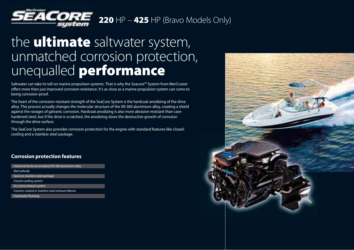

## the **ultimate** saltwater system, unmatched corrosion protection, unequalled **performance**

Saltwater can take its toll on marine propulsion systems. That is why the Seacore™ System from MerCruiser offers more than just improved corrosion resistance. It's as close as a marine propulsion system can come to being corrosion-proof.

The heart of the corrosion-resistant strength of the SeaCore System is the hardcoat anodizing of the drive alloy. This process actually changes the molecular structure of the XK-360 aluminium alloy, creating a shield against the ravages of galvanic corrosion. Hardcoat anodizing is also more abrasion resistant than casehardened steel, but if the drive is scratched, the anodizing slows the destructive growth of corrosion through the drive surface.

The SeaCore System also provides corrosion protection for the engine with standard features like closedcooling and a stainless steel package.

### **Corrosion protection features**

| Industrial hardcoat anodized XK-360 aluminium alloy |  |
|-----------------------------------------------------|--|
| <b>MerCathode</b>                                   |  |
| SeaCore stainless steel package                     |  |
| Closed-cooling system                               |  |
| Dry-joint exhaust system                            |  |
| Ceramic-coated or stainless steel exhaust elbows    |  |
| Freshwater Flushing                                 |  |

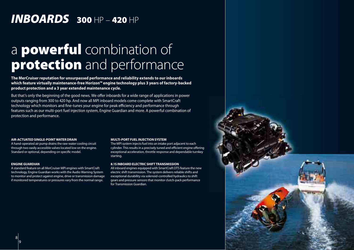## *INBOARDS* **300** HP – **420** HP

## a **powerful** combination of **protection** and performance

**The MerCruiser reputation for unsurpassed performance and reliability extends to our inboards which feature virtually maintenance-free Horizon™ engine technology plus 3 years of factory-backed product protection and a 3 year extended maintenance cycle.**

But that's only the beginning of the good news. We offer inboards for a wide range of applications in power outputs ranging from 300 to 420 hp. And now all MPI inboard models come complete with SmartCraft technology which monitors and fine-tunes your engine for peak efficiency and performance through features such as our multi-port fuel injection system, Engine Guardian and more. A powerful combination of protection and performance.

#### **AIR-ACTUATED SINGLE-POINT WATER DRAIN**

A hand-operated air pump drains the raw-water cooling circuit through two easily accessible valves located low on the engine. Standard or optional, depending on specific model.

#### **ENGINE GUARDIAN**

A standard feature on all MerCruiser MPI engines with SmartCraft technology, Engine Guardian works with the Audio Warning System to monitor and protect against engine, drive or transmission damage if monitored temperatures or pressures vary from the normal range.

#### **MULTI-PORT FUEL INJECTION SYSTEM**

The MPI system injects fuel into an intake port adjacent to each cylinder. This results in a precisely tuned and efficient engine offering exceptional acceleration, throttle response and dependable turnkey starting.

#### **8.1S INBOARD ELECTRIC SHIFT TRANSMISSION**

All inboard engines equipped with SmartCraft DTS feature the new electric shift transmission. The system delivers reliable shifts and exceptional durability via solenoid-controlled hydraulics to shift gears and pressure sensors that monitor clutch-pack performance for Transmission Guardian.

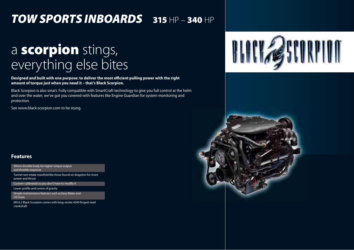## *TOW SPORTS INBOARDS* **315** HP – **340** HP

# a **scorpion** stings, everything else bites

Designed and built with one purpose: to deliver the most efficient pulling power with the right **amount of torque just when you need it – that's Black Scorpion.**

Black Scorpion is also smart. Fully compatible with SmartCraft technology to give you full control at the helm and over the water, we've got you covered with features like Engine Guardian for system monitoring and protection.

See www.black-scorpion.com to be stung.

#### **Features**

90mm throttle body for higher torque output and throttle response

Tunnel ram intake manifold like those found on dragsters for more power and thrust

Custom-calibrated so you don't have to modify it

Lower profile and centre of gravity

Simple maintenance features such as Easy Water and Oil Drain

MX 6.2 Black Scorpion comes with long-stroke 4340 forged-steel crankshaft

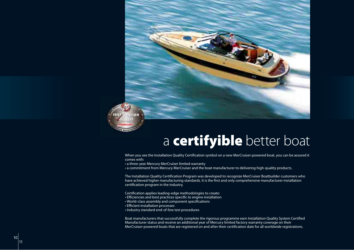

## a **certifyible** better boat

When you see the Installation Quality Certification symbol on a new MerCruiser-powered boat, you can be assured it comes with:

• a three-year Mercury MerCruiser limited warranty

• a commitment from Mercury MerCruiser and the boat manufacturer to delivering high-quality products.

The Installation Quality Certification Program was developed to recognize MerCruiser Boatbuilder customers who have achieved higher manufacturing standards. It is the first and only comprehensive manufacturer-installation certification program in the industry.

Certification applies leading-edge methodologies to create:

- Efficiencies and best practices specific to engine installation
- World-class assembly and component specifications
- Efficient installation processes
- Industry standard end-of-line test procedures

Boat manufacturers that successfully complete the rigorous programme earn Installation Quality System Certified Manufacturer status and receive an additional year of Mercury limited factory warranty coverage on their MerCruiser-powered boats that are registered on and after their certification date for all worldwide registrations.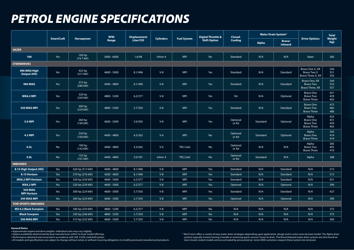## *PETROL ENGINE SPECIFICATIONS*

|                                      |                   |                              | <b>RPM</b>    | <b>Displacement</b> |                  |                    | <b>Digital Throttle &amp;</b> | Closed-<br>Cooling | <b>Water Drain System*</b> |                          |                                                                     | <b>Total</b>             |
|--------------------------------------|-------------------|------------------------------|---------------|---------------------|------------------|--------------------|-------------------------------|--------------------|----------------------------|--------------------------|---------------------------------------------------------------------|--------------------------|
|                                      | <b>SmartCraft</b> | Horsepower                   | Range         | Liter/CID           | <b>Cylinders</b> | <b>Fuel System</b> | <b>Shift Option</b>           |                    | <b>Alpha</b>               | Bravo/<br><b>Inboard</b> | <b>Drive Options</b>                                                | Weight<br>(kg)           |
| <b>VAZER</b>                         |                   |                              |               |                     |                  |                    |                               |                    |                            |                          |                                                                     |                          |
| 100                                  | Yes               | 100 hp<br>(74.7 kW)          | $5600 - 6000$ | 1.6/98              | Inline-4         | <b>MPI</b>         | <b>No</b>                     | Standard           | N/A                        | N/A                      | Vazer                                                               | 260                      |
| <b>STERNDRIVES</b>                   |                   |                              |               |                     |                  |                    |                               |                    |                            |                          |                                                                     |                          |
| 496 MAG High<br>Output (HO)          | Yes               | 425 hp<br>$(317 \text{ kW})$ | $4600 - 5000$ | 8.1/496             | $V-8$            | <b>MPI</b>         | Yes                           | Standard           | N/A                        | Standard                 | Bravo One X, XR<br>Bravo Two X<br>Bravo Three X, XR                 | 544<br>551<br>556        |
| <b>496 MAG</b>                       | Yes               | 375 hp<br>(280 kW)           | 4400 - 4800   | 8.1/496             | $V-8$            | <b>MPI</b>         | Yes                           | Standard           | N/A                        | Standard                 | Bravo One, XR<br>Bravo Two<br>Bravo Three, XR                       | 544<br>553<br>557        |
| <b>MX6.2 MPI</b>                     | Yes               | $320$ hp<br>(239 kW)         | 4800 - 5200   | 6.2/377             | $V-8$            | <b>MPI</b>         | Yes                           | Kit                | N/A                        | Optional                 | <b>Bravo One</b><br><b>Bravo Two</b><br><b>Bravo Three</b>          | 451<br>459<br>463        |
| 350 MAG MPI                          | Yes               | 300 hp<br>(224 kW)           | 4800 - 5200   | 5.7/350             | $V-8$            | <b>MPI</b>         | Yes                           | Standard           | N/A                        | Standard                 | <b>Bravo One</b><br><b>Bravo Two</b><br><b>Bravo Three</b>          | 475<br>482<br>486        |
| <b>5.0 MPI</b>                       | Yes               | 260 hp<br>$(194 \text{ kW})$ | 4600 - 5000   | 5.0/305             | $V-8$            | <b>MPI</b>         | Yes                           | Optional<br>or Kit | Standard                   | Optional                 | Alpha<br><b>Bravo One</b><br><b>Bravo Two</b><br><b>Bravo Three</b> | 433<br>451<br>459<br>463 |
| <b>4.3 MPI</b>                       | Yes               | 220 hp<br>$(164 \text{ kW})$ | 4400 - 4800   | 4.3/262             | $V-6$            | <b>MPI</b>         | <b>No</b>                     | Optional<br>or Kit | Standard                   | Optional                 | Alpha<br><b>Bravo Two</b><br><b>Bravo Three</b>                     | 393<br>414<br>419        |
| 4.3L                                 | No                | 190 hp<br>$(142$ kW)         | 4400 - 4800   | 4.3/262             | $V-6$            | <b>TKS Carb</b>    | <b>No</b>                     | Optional<br>or Kit | N/A                        | N/A                      | Alpha<br><b>Bravo Two</b><br><b>Bravo Three</b>                     | 385<br>405<br>410        |
| 3.0 <sub>L</sub>                     | No                | 135 hp<br>$(101$ kW)         | 4400 - 4800   | 3.0/181             | Inline-4         | <b>TKS Carb</b>    | <b>No</b>                     | Optional<br>or Kit | Standard                   | N/A                      | Alpha                                                               | 288                      |
| <b>INBOARDS</b>                      |                   |                              |               |                     |                  |                    |                               |                    |                            |                          |                                                                     |                          |
| 8.1S High Output (HO)                | Yes               | 420 hp (313 kW)              | 4400 - 4800   | 8.1/496             | $V-8$            | <b>MPI</b>         | Yes                           | Standard           | N/A                        | Standard                 | N/A                                                                 | 513                      |
| 8.1S Horizon                         | Yes               | 370 hp (276 kW)              | 4200 - 4600   | 8.1/496             | $V-8$            | <b>MPI</b>         | Yes                           | Standard           | N/A                        | Standard                 | N/A                                                                 | 513                      |
| <b>MX6.2 MPI Horizon</b>             | Yes               | 320 hp (239 kW)              | 4600 - 5000   | 6.2/377             | $V-8$            | <b>MPI</b>         | Yes                           | Standard           | N/A                        | Standard                 | N/A                                                                 | 431                      |
| <b>MX6.2 MPI</b>                     | Yes               | 320 hp (239 kW)              | $4600 - 5000$ | 6.2/377             | $V-8$            | <b>MPI</b>         | Yes                           | Optional           | N/A                        | Optional                 | N/A                                                                 | 390                      |
| <b>350 MAG</b><br><b>MPI Horizon</b> | Yes               | 300 hp (224 kW)              | $4600 - 5000$ | 5.7/350             | $V-8$            | <b>MPI</b>         | Yes                           | Standard           | N/A                        | Standard                 | N/A                                                                 | 427                      |
| 350 MAG MPI                          | Yes               | 300 hp (224 kW)              | $4600 - 5000$ | 5.7/350             | $V-8$            | <b>MPI</b>         | Yes                           | Optional           | N/A                        | Optional                 | N/A                                                                 | 390                      |
| <b>TOW SPORTS INBOARDS</b>           |                   |                              |               |                     |                  |                    |                               |                    |                            |                          |                                                                     |                          |
| <b>MX 6.2 Black Scorpion</b>         | Yes               | 340 hp (254 kW)              | 4800 - 5200   | 6.2/377             | $V-8$            | <b>MPI</b>         | No                            | N/A                | N/A                        | N/A                      | N/A                                                                 | 373                      |
| <b>Black Scorpion</b>                | Yes               | 330 hp (246 kW)              | 4800 - 5200   | 5.7/350             | $V-8$            | <b>MPI</b>         | <b>No</b>                     | N/A                | N/A                        | N/A                      | N/A                                                                 | 373                      |
| 350 MAG MPI                          | Yes               | 315 hp (235 kW)              | $4600 - 5000$ | 5.7/350             | $V-8$            | <b>MPI</b>         | No                            | N/A                | N/A                        | N/A                      | N/A                                                                 | 369                      |

#### **General Notes**

• Approximate engine and drive weights. Individual units may vary slightly.<br>• Option availability determined by boat manufacturer within its boat model offerings.

**•** Performance obtained and corrected in accordance with SAE J1228 crankshaft power.

**•** All models and specifi cations are subject to change without notice or without incurring obligations to modify previously manufactured products.

\* MerCruiser off ers a variety of easy water drain strategies depending upon application, design and in some cases by boat model. The Alpha drain systems typically involve turning a handle or removing quick-connect hoses to drain. The Bravo/Inboard water drain systems are also found on most closed-cooled models and are activated by pressurized air. Some OEM customers request these systems be removed.